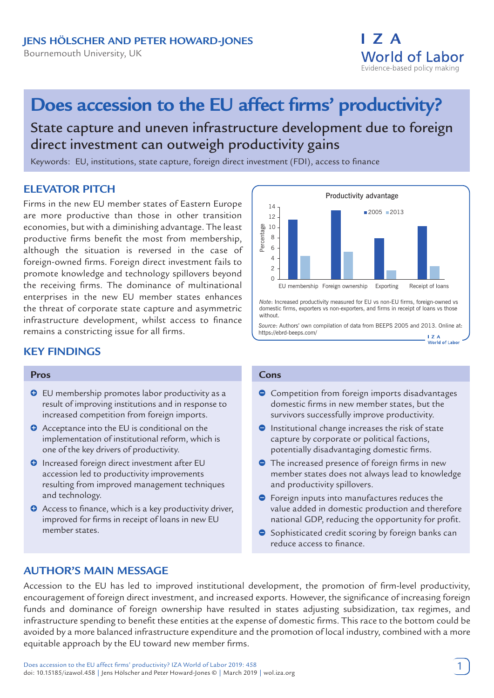I 7 A **World of Labor** Evidence-based policy making

# **Does accession to the EU affect firms' productivity?**

## State capture and uneven infrastructure development due to foreign direct investment can outweigh productivity gains

Keywords: EU, institutions, state capture, foreign direct investment (FDI), access to finance

## **ELEVATOR PITCH**

Firms in the new EU member states of Eastern Europe are more productive than those in other transition economies, but with a diminishing advantage. The least productive firms benefit the most from membership, although the situation is reversed in the case of foreign-owned firms. Foreign direct investment fails to promote knowledge and technology spillovers beyond the receiving firms. The dominance of multinational enterprises in the new EU member states enhances the threat of corporate state capture and asymmetric infrastructure development, whilst access to finance remains a constricting issue for all firms.

## **KEY FINDINGS**

#### **Pros**

- $\Theta$  EU membership promotes labor productivity as a result of improving institutions and in response to increased competition from foreign imports.
- **O** Acceptance into the EU is conditional on the implementation of institutional reform, which is one of the key drivers of productivity.
- **O** Increased foreign direct investment after EU accession led to productivity improvements resulting from improved management techniques and technology.
- **O** Access to finance, which is a key productivity driver, improved for firms in receipt of loans in new EU member states.



*Note*: Increased productivity measured for EU vs non-EU firms, foreign-owned vs domestic firms, exporters vs non-exporters, and firms in receipt of loans vs those without.

*Source*: Authors' own compilation of data from BEEPS 2005 and 2013. Online at: https://ebrd-beeps.com/  $17A$ 

#### **Cons**

- **Competition from foreign imports disadvantages** domestic firms in new member states, but the survivors successfully improve productivity.
- $\bullet$  Institutional change increases the risk of state capture by corporate or political factions, potentially disadvantaging domestic firms.
- The increased presence of foreign firms in new member states does not always lead to knowledge and productivity spillovers.
- $\bullet$  Foreign inputs into manufactures reduces the value added in domestic production and therefore national GDP, reducing the opportunity for profit.
- $\bullet$  Sophisticated credit scoring by foreign banks can reduce access to finance.

## **AUTHOR'S MAIN MESSAGE**

Accession to the EU has led to improved institutional development, the promotion of firm-level productivity, encouragement of foreign direct investment, and increased exports. However, the significance of increasing foreign funds and dominance of foreign ownership have resulted in states adjusting subsidization, tax regimes, and infrastructure spending to benefit these entities at the expense of domestic firms. This race to the bottom could be avoided by a more balanced infrastructure expenditure and the promotion of local industry, combined with a more equitable approach by the EU toward new member firms.

. . . .<br>World of Labor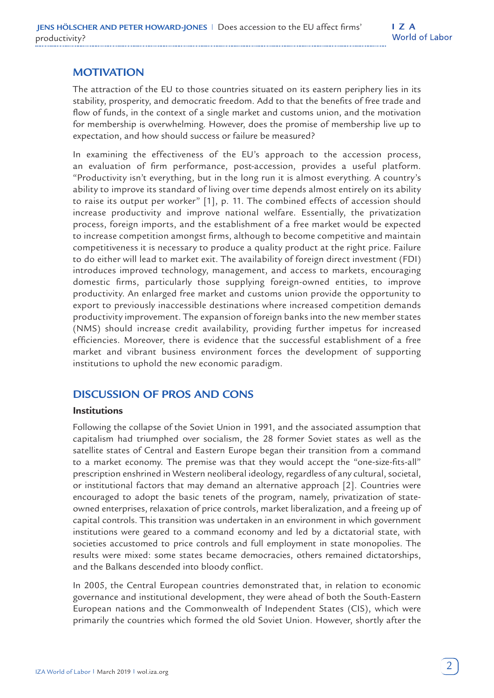## **MOTIVATION**

The attraction of the EU to those countries situated on its eastern periphery lies in its stability, prosperity, and democratic freedom. Add to that the benefits of free trade and flow of funds, in the context of a single market and customs union, and the motivation for membership is overwhelming. However, does the promise of membership live up to expectation, and how should success or failure be measured?

In examining the effectiveness of the EU's approach to the accession process, an evaluation of firm performance, post-accession, provides a useful platform. "Productivity isn't everything, but in the long run it is almost everything. A country's ability to improve its standard of living over time depends almost entirely on its ability to raise its output per worker" [1], p. 11. The combined effects of accession should increase productivity and improve national welfare. Essentially, the privatization process, foreign imports, and the establishment of a free market would be expected to increase competition amongst firms, although to become competitive and maintain competitiveness it is necessary to produce a quality product at the right price. Failure to do either will lead to market exit. The availability of foreign direct investment (FDI) introduces improved technology, management, and access to markets, encouraging domestic firms, particularly those supplying foreign-owned entities, to improve productivity. An enlarged free market and customs union provide the opportunity to export to previously inaccessible destinations where increased competition demands productivity improvement. The expansion of foreign banks into the new member states (NMS) should increase credit availability, providing further impetus for increased efficiencies. Moreover, there is evidence that the successful establishment of a free market and vibrant business environment forces the development of supporting institutions to uphold the new economic paradigm.

## **DISCUSSION OF PROS AND CONS**

#### **Institutions**

Following the collapse of the Soviet Union in 1991, and the associated assumption that capitalism had triumphed over socialism, the 28 former Soviet states as well as the satellite states of Central and Eastern Europe began their transition from a command to a market economy. The premise was that they would accept the "one-size-fits-all" prescription enshrined in Western neoliberal ideology, regardless of any cultural, societal, or institutional factors that may demand an alternative approach [2]. Countries were encouraged to adopt the basic tenets of the program, namely, privatization of stateowned enterprises, relaxation of price controls, market liberalization, and a freeing up of capital controls. This transition was undertaken in an environment in which government institutions were geared to a command economy and led by a dictatorial state, with societies accustomed to price controls and full employment in state monopolies. The results were mixed: some states became democracies, others remained dictatorships, and the Balkans descended into bloody conflict.

In 2005, the Central European countries demonstrated that, in relation to economic governance and institutional development, they were ahead of both the South-Eastern European nations and the Commonwealth of Independent States (CIS), which were primarily the countries which formed the old Soviet Union. However, shortly after the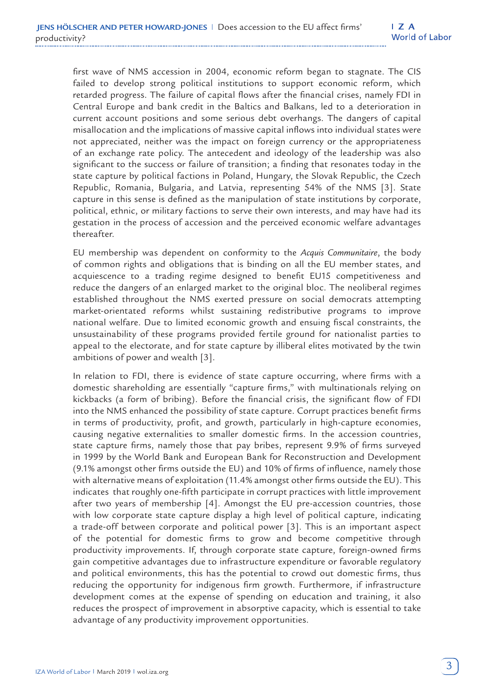first wave of NMS accession in 2004, economic reform began to stagnate. The CIS failed to develop strong political institutions to support economic reform, which retarded progress. The failure of capital flows after the financial crises, namely FDI in Central Europe and bank credit in the Baltics and Balkans, led to a deterioration in current account positions and some serious debt overhangs. The dangers of capital misallocation and the implications of massive capital inflows into individual states were not appreciated, neither was the impact on foreign currency or the appropriateness of an exchange rate policy. The antecedent and ideology of the leadership was also significant to the success or failure of transition; a finding that resonates today in the state capture by political factions in Poland, Hungary, the Slovak Republic, the Czech Republic, Romania, Bulgaria, and Latvia, representing 54% of the NMS [3]. State capture in this sense is defined as the manipulation of state institutions by corporate, political, ethnic, or military factions to serve their own interests, and may have had its gestation in the process of accession and the perceived economic welfare advantages thereafter.

EU membership was dependent on conformity to the *Acquis Communitaire*, the body of common rights and obligations that is binding on all the EU member states, and acquiescence to a trading regime designed to benefit EU15 competitiveness and reduce the dangers of an enlarged market to the original bloc. The neoliberal regimes established throughout the NMS exerted pressure on social democrats attempting market-orientated reforms whilst sustaining redistributive programs to improve national welfare. Due to limited economic growth and ensuing fiscal constraints, the unsustainability of these programs provided fertile ground for nationalist parties to appeal to the electorate, and for state capture by illiberal elites motivated by the twin ambitions of power and wealth [3].

In relation to FDI, there is evidence of state capture occurring, where firms with a domestic shareholding are essentially "capture firms," with multinationals relying on kickbacks (a form of bribing). Before the financial crisis, the significant flow of FDI into the NMS enhanced the possibility of state capture. Corrupt practices benefit firms in terms of productivity, profit, and growth, particularly in high-capture economies, causing negative externalities to smaller domestic firms. In the accession countries, state capture firms, namely those that pay bribes, represent 9.9% of firms surveyed in 1999 by the World Bank and European Bank for Reconstruction and Development (9.1% amongst other firms outside the EU) and 10% of firms of influence, namely those with alternative means of exploitation (11.4% amongst other firms outside the EU). This indicates that roughly one-fifth participate in corrupt practices with little improvement after two years of membership [4]. Amongst the EU pre-accession countries, those with low corporate state capture display a high level of political capture, indicating a trade-off between corporate and political power [3]. This is an important aspect of the potential for domestic firms to grow and become competitive through productivity improvements. If, through corporate state capture, foreign-owned firms gain competitive advantages due to infrastructure expenditure or favorable regulatory and political environments, this has the potential to crowd out domestic firms, thus reducing the opportunity for indigenous firm growth. Furthermore, if infrastructure development comes at the expense of spending on education and training, it also reduces the prospect of improvement in absorptive capacity, which is essential to take advantage of any productivity improvement opportunities.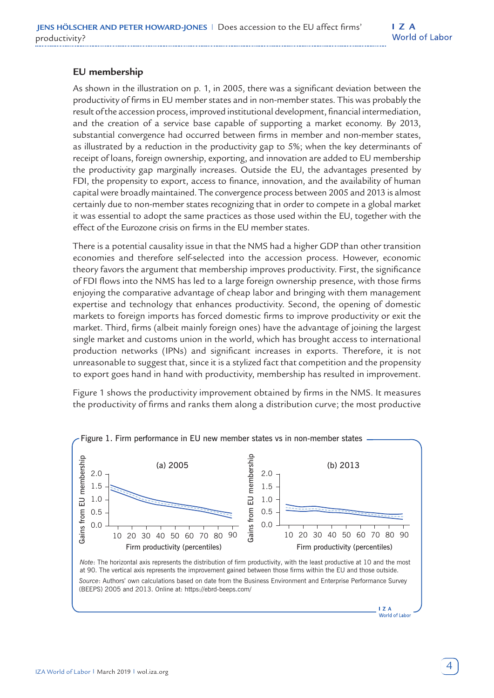## **EU membership**

As shown in the illustration on p. 1, in 2005, there was a significant deviation between the productivity of firms in EU member states and in non-member states. This was probably the result of the accession process, improved institutional development, financial intermediation, and the creation of a service base capable of supporting a market economy. By 2013, substantial convergence had occurred between firms in member and non-member states, as illustrated by a reduction in the productivity gap to 5%; when the key determinants of receipt of loans, foreign ownership, exporting, and innovation are added to EU membership the productivity gap marginally increases. Outside the EU, the advantages presented by FDI, the propensity to export, access to finance, innovation, and the availability of human capital were broadly maintained. The convergence process between 2005 and 2013 is almost certainly due to non-member states recognizing that in order to compete in a global market it was essential to adopt the same practices as those used within the EU, together with the effect of the Eurozone crisis on firms in the EU member states.

There is a potential causality issue in that the NMS had a higher GDP than other transition economies and therefore self-selected into the accession process. However, economic theory favors the argument that membership improves productivity. First, the significance of FDI flows into the NMS has led to a large foreign ownership presence, with those firms enjoying the comparative advantage of cheap labor and bringing with them management expertise and technology that enhances productivity. Second, the opening of domestic markets to foreign imports has forced domestic firms to improve productivity or exit the market. Third, firms (albeit mainly foreign ones) have the advantage of joining the largest single market and customs union in the world, which has brought access to international production networks (IPNs) and significant increases in exports. Therefore, it is not unreasonable to suggest that, since it is a stylized fact that competition and the propensity to export goes hand in hand with productivity, membership has resulted in improvement.

Figure 1 shows the productivity improvement obtained by firms in the NMS. It measures the productivity of firms and ranks them along a distribution curve; the most productive

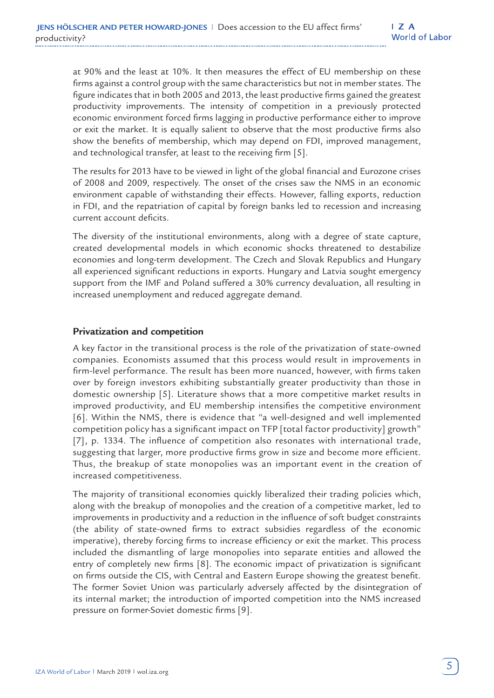at 90% and the least at 10%. It then measures the effect of EU membership on these firms against a control group with the same characteristics but not in member states. The figure indicates that in both 2005 and 2013, the least productive firms gained the greatest productivity improvements. The intensity of competition in a previously protected economic environment forced firms lagging in productive performance either to improve or exit the market. It is equally salient to observe that the most productive firms also show the benefits of membership, which may depend on FDI, improved management, and technological transfer, at least to the receiving firm [5].

The results for 2013 have to be viewed in light of the global financial and Eurozone crises of 2008 and 2009, respectively. The onset of the crises saw the NMS in an economic environment capable of withstanding their effects. However, falling exports, reduction in FDI, and the repatriation of capital by foreign banks led to recession and increasing current account deficits.

The diversity of the institutional environments, along with a degree of state capture, created developmental models in which economic shocks threatened to destabilize economies and long-term development. The Czech and Slovak Republics and Hungary all experienced significant reductions in exports. Hungary and Latvia sought emergency support from the IMF and Poland suffered a 30% currency devaluation, all resulting in increased unemployment and reduced aggregate demand.

#### **Privatization and competition**

A key factor in the transitional process is the role of the privatization of state-owned companies. Economists assumed that this process would result in improvements in firm-level performance. The result has been more nuanced, however, with firms taken over by foreign investors exhibiting substantially greater productivity than those in domestic ownership [5]. Literature shows that a more competitive market results in improved productivity, and EU membership intensifies the competitive environment [6]. Within the NMS, there is evidence that "a well-designed and well implemented competition policy has a significant impact on TFP [total factor productivity] growth" [7], p. 1334. The influence of competition also resonates with international trade, suggesting that larger, more productive firms grow in size and become more efficient. Thus, the breakup of state monopolies was an important event in the creation of increased competitiveness.

The majority of transitional economies quickly liberalized their trading policies which, along with the breakup of monopolies and the creation of a competitive market, led to improvements in productivity and a reduction in the influence of soft budget constraints (the ability of state-owned firms to extract subsidies regardless of the economic imperative), thereby forcing firms to increase efficiency or exit the market. This process included the dismantling of large monopolies into separate entities and allowed the entry of completely new firms [8]. The economic impact of privatization is significant on firms outside the CIS, with Central and Eastern Europe showing the greatest benefit. The former Soviet Union was particularly adversely affected by the disintegration of its internal market; the introduction of imported competition into the NMS increased pressure on former-Soviet domestic firms [9].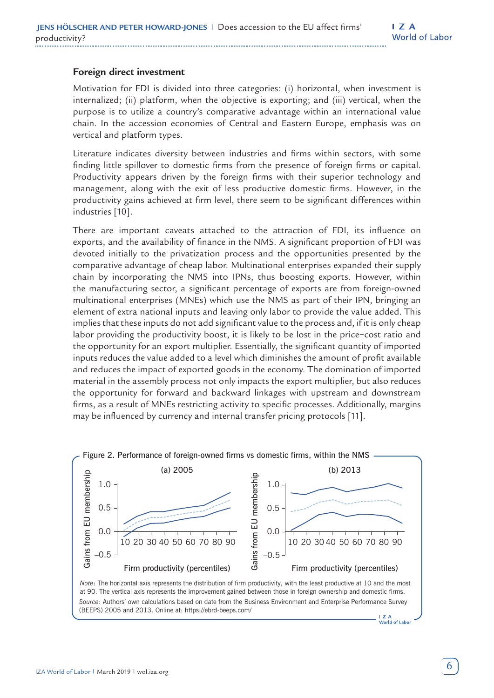## **Foreign direct investment**

Motivation for FDI is divided into three categories: (i) horizontal, when investment is internalized; (ii) platform, when the objective is exporting; and (iii) vertical, when the purpose is to utilize a country's comparative advantage within an international value chain. In the accession economies of Central and Eastern Europe, emphasis was on vertical and platform types.

Literature indicates diversity between industries and firms within sectors, with some finding little spillover to domestic firms from the presence of foreign firms or capital. Productivity appears driven by the foreign firms with their superior technology and management, along with the exit of less productive domestic firms. However, in the productivity gains achieved at firm level, there seem to be significant differences within industries [10].

There are important caveats attached to the attraction of FDI, its influence on exports, and the availability of finance in the NMS. A significant proportion of FDI was devoted initially to the privatization process and the opportunities presented by the comparative advantage of cheap labor. Multinational enterprises expanded their supply chain by incorporating the NMS into IPNs, thus boosting exports. However, within the manufacturing sector, a significant percentage of exports are from foreign-owned multinational enterprises (MNEs) which use the NMS as part of their IPN, bringing an element of extra national inputs and leaving only labor to provide the value added. This implies that these inputs do not add significant value to the process and, if it is only cheap labor providing the productivity boost, it is likely to be lost in the price−cost ratio and the opportunity for an export multiplier. Essentially, the significant quantity of imported inputs reduces the value added to a level which diminishes the amount of profit available and reduces the impact of exported goods in the economy. The domination of imported material in the assembly process not only impacts the export multiplier, but also reduces the opportunity for forward and backward linkages with upstream and downstream firms, as a result of MNEs restricting activity to specific processes. Additionally, margins may be influenced by currency and internal transfer pricing protocols [11].

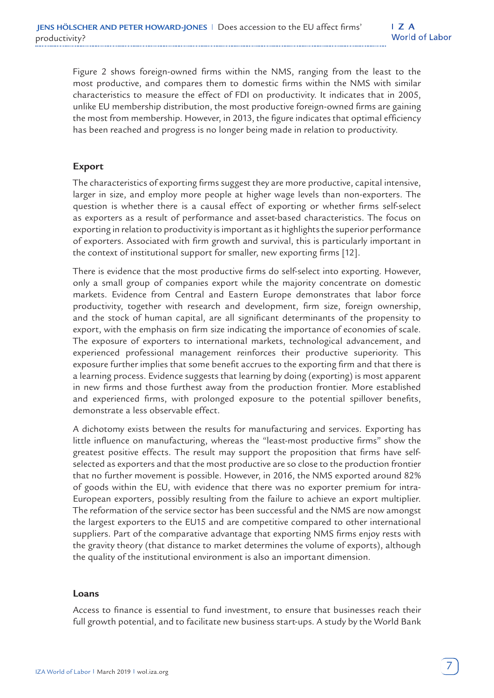Figure 2 shows foreign-owned firms within the NMS, ranging from the least to the most productive, and compares them to domestic firms within the NMS with similar characteristics to measure the effect of FDI on productivity. It indicates that in 2005, unlike EU membership distribution, the most productive foreign-owned firms are gaining the most from membership. However, in 2013, the figure indicates that optimal efficiency has been reached and progress is no longer being made in relation to productivity.

### **Export**

The characteristics of exporting firms suggest they are more productive, capital intensive, larger in size, and employ more people at higher wage levels than non-exporters. The question is whether there is a causal effect of exporting or whether firms self-select as exporters as a result of performance and asset-based characteristics. The focus on exporting in relation to productivity is important as it highlights the superior performance of exporters. Associated with firm growth and survival, this is particularly important in the context of institutional support for smaller, new exporting firms [12].

There is evidence that the most productive firms do self-select into exporting. However, only a small group of companies export while the majority concentrate on domestic markets. Evidence from Central and Eastern Europe demonstrates that labor force productivity, together with research and development, firm size, foreign ownership, and the stock of human capital, are all significant determinants of the propensity to export, with the emphasis on firm size indicating the importance of economies of scale. The exposure of exporters to international markets, technological advancement, and experienced professional management reinforces their productive superiority. This exposure further implies that some benefit accrues to the exporting firm and that there is a learning process. Evidence suggests that learning by doing (exporting) is most apparent in new firms and those furthest away from the production frontier. More established and experienced firms, with prolonged exposure to the potential spillover benefits, demonstrate a less observable effect.

A dichotomy exists between the results for manufacturing and services. Exporting has little influence on manufacturing, whereas the "least-most productive firms" show the greatest positive effects. The result may support the proposition that firms have selfselected as exporters and that the most productive are so close to the production frontier that no further movement is possible. However, in 2016, the NMS exported around 82% of goods within the EU, with evidence that there was no exporter premium for intra-European exporters, possibly resulting from the failure to achieve an export multiplier. The reformation of the service sector has been successful and the NMS are now amongst the largest exporters to the EU15 and are competitive compared to other international suppliers. Part of the comparative advantage that exporting NMS firms enjoy rests with the gravity theory (that distance to market determines the volume of exports), although the quality of the institutional environment is also an important dimension.

#### **Loans**

Access to finance is essential to fund investment, to ensure that businesses reach their full growth potential, and to facilitate new business start-ups. A study by the World Bank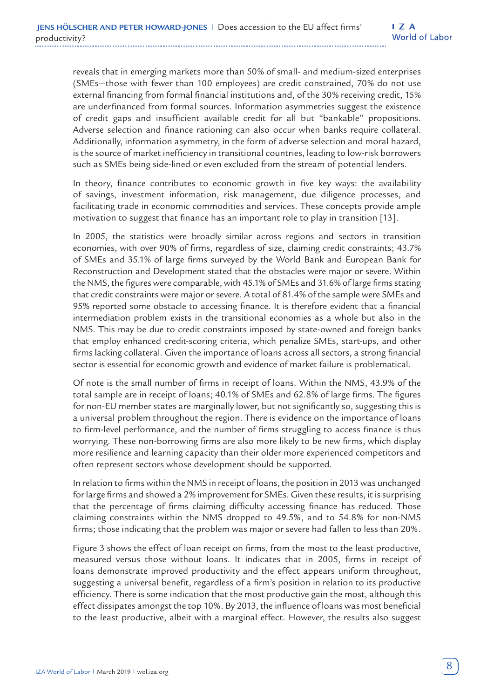reveals that in emerging markets more than 50% of small- and medium-sized enterprises (SMEs—those with fewer than 100 employees) are credit constrained, 70% do not use external financing from formal financial institutions and, of the 30% receiving credit, 15% are underfinanced from formal sources. Information asymmetries suggest the existence of credit gaps and insufficient available credit for all but "bankable" propositions. Adverse selection and finance rationing can also occur when banks require collateral. Additionally, information asymmetry, in the form of adverse selection and moral hazard, is the source of market inefficiency in transitional countries, leading to low-risk borrowers such as SMEs being side-lined or even excluded from the stream of potential lenders.

In theory, finance contributes to economic growth in five key ways: the availability of savings, investment information, risk management, due diligence processes, and facilitating trade in economic commodities and services. These concepts provide ample motivation to suggest that finance has an important role to play in transition [13].

In 2005, the statistics were broadly similar across regions and sectors in transition economies, with over 90% of firms, regardless of size, claiming credit constraints; 43.7% of SMEs and 35.1% of large firms surveyed by the World Bank and European Bank for Reconstruction and Development stated that the obstacles were major or severe. Within the NMS, the figures were comparable, with 45.1% of SMEs and 31.6% of large firms stating that credit constraints were major or severe. A total of 81.4% of the sample were SMEs and 95% reported some obstacle to accessing finance. It is therefore evident that a financial intermediation problem exists in the transitional economies as a whole but also in the NMS. This may be due to credit constraints imposed by state-owned and foreign banks that employ enhanced credit-scoring criteria, which penalize SMEs, start-ups, and other firms lacking collateral. Given the importance of loans across all sectors, a strong financial sector is essential for economic growth and evidence of market failure is problematical.

Of note is the small number of firms in receipt of loans. Within the NMS, 43.9% of the total sample are in receipt of loans; 40.1% of SMEs and 62.8% of large firms. The figures for non-EU member states are marginally lower, but not significantly so, suggesting this is a universal problem throughout the region. There is evidence on the importance of loans to firm-level performance, and the number of firms struggling to access finance is thus worrying. These non-borrowing firms are also more likely to be new firms, which display more resilience and learning capacity than their older more experienced competitors and often represent sectors whose development should be supported.

In relation to firms within the NMS in receipt of loans, the position in 2013 was unchanged for large firms and showed a 2% improvement for SMEs. Given these results, it is surprising that the percentage of firms claiming difficulty accessing finance has reduced. Those claiming constraints within the NMS dropped to 49.5%, and to 54.8% for non-NMS firms; those indicating that the problem was major or severe had fallen to less than 20%.

Figure 3 shows the effect of loan receipt on firms, from the most to the least productive, measured versus those without loans. It indicates that in 2005, firms in receipt of loans demonstrate improved productivity and the effect appears uniform throughout, suggesting a universal benefit, regardless of a firm's position in relation to its productive efficiency. There is some indication that the most productive gain the most, although this effect dissipates amongst the top 10%. By 2013, the influence of loans was most beneficial to the least productive, albeit with a marginal effect. However, the results also suggest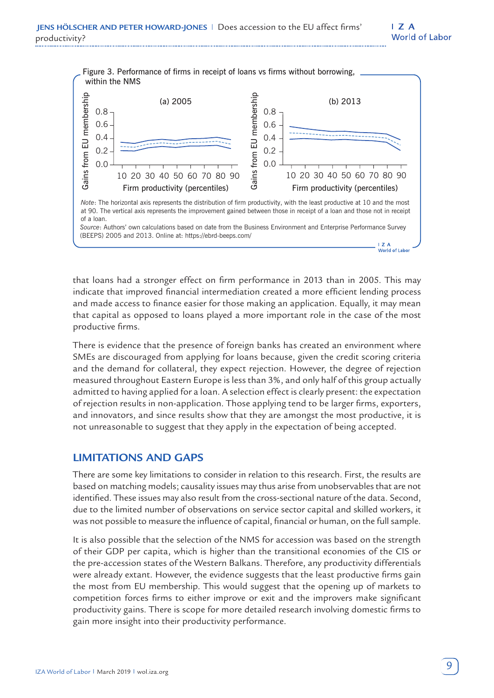

that loans had a stronger effect on firm performance in 2013 than in 2005. This may indicate that improved financial intermediation created a more efficient lending process and made access to finance easier for those making an application. Equally, it may mean that capital as opposed to loans played a more important role in the case of the most productive firms.

There is evidence that the presence of foreign banks has created an environment where SMEs are discouraged from applying for loans because, given the credit scoring criteria and the demand for collateral, they expect rejection. However, the degree of rejection measured throughout Eastern Europe is less than 3%, and only half of this group actually admitted to having applied for a loan. A selection effect is clearly present: the expectation of rejection results in non-application. Those applying tend to be larger firms, exporters, and innovators, and since results show that they are amongst the most productive, it is not unreasonable to suggest that they apply in the expectation of being accepted.

## **LIMITATIONS AND GAPS**

There are some key limitations to consider in relation to this research. First, the results are based on matching models; causality issues may thus arise from unobservables that are not identified. These issues may also result from the cross-sectional nature of the data. Second, due to the limited number of observations on service sector capital and skilled workers, it was not possible to measure the influence of capital, financial or human, on the full sample.

It is also possible that the selection of the NMS for accession was based on the strength of their GDP per capita, which is higher than the transitional economies of the CIS or the pre-accession states of the Western Balkans. Therefore, any productivity differentials were already extant. However, the evidence suggests that the least productive firms gain the most from EU membership. This would suggest that the opening up of markets to competition forces firms to either improve or exit and the improvers make significant productivity gains. There is scope for more detailed research involving domestic firms to gain more insight into their productivity performance.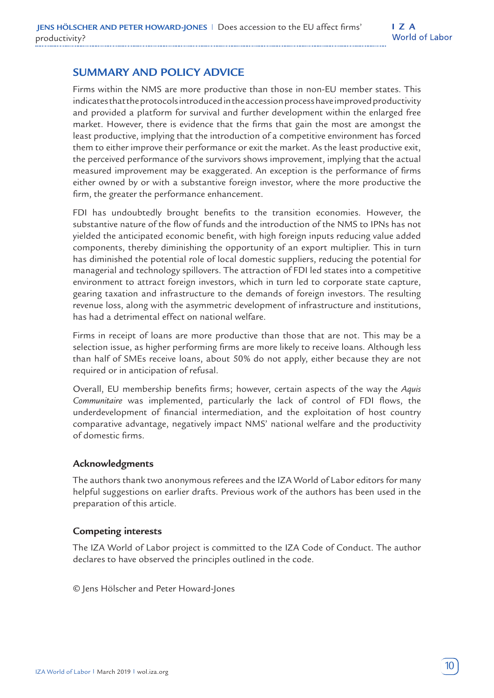## **SUMMARY AND POLICY ADVICE**

Firms within the NMS are more productive than those in non-EU member states. This indicates that the protocols introduced in the accession process have improved productivity and provided a platform for survival and further development within the enlarged free market. However, there is evidence that the firms that gain the most are amongst the least productive, implying that the introduction of a competitive environment has forced them to either improve their performance or exit the market. As the least productive exit, the perceived performance of the survivors shows improvement, implying that the actual measured improvement may be exaggerated. An exception is the performance of firms either owned by or with a substantive foreign investor, where the more productive the firm, the greater the performance enhancement.

FDI has undoubtedly brought benefits to the transition economies. However, the substantive nature of the flow of funds and the introduction of the NMS to IPNs has not yielded the anticipated economic benefit, with high foreign inputs reducing value added components, thereby diminishing the opportunity of an export multiplier. This in turn has diminished the potential role of local domestic suppliers, reducing the potential for managerial and technology spillovers. The attraction of FDI led states into a competitive environment to attract foreign investors, which in turn led to corporate state capture, gearing taxation and infrastructure to the demands of foreign investors. The resulting revenue loss, along with the asymmetric development of infrastructure and institutions, has had a detrimental effect on national welfare.

Firms in receipt of loans are more productive than those that are not. This may be a selection issue, as higher performing firms are more likely to receive loans. Although less than half of SMEs receive loans, about 50% do not apply, either because they are not required or in anticipation of refusal.

Overall, EU membership benefits firms; however, certain aspects of the way the *Aquis Communitaire* was implemented, particularly the lack of control of FDI flows, the underdevelopment of financial intermediation, and the exploitation of host country comparative advantage, negatively impact NMS' national welfare and the productivity of domestic firms.

#### **Acknowledgments**

The authors thank two anonymous referees and the IZA World of Labor editors for many helpful suggestions on earlier drafts. Previous work of the authors has been used in the preparation of this article.

#### **Competing interests**

The IZA World of Labor project is committed to the IZA Code of Conduct. The author declares to have observed the principles outlined in the code.

© Jens Hölscher and Peter Howard-Jones